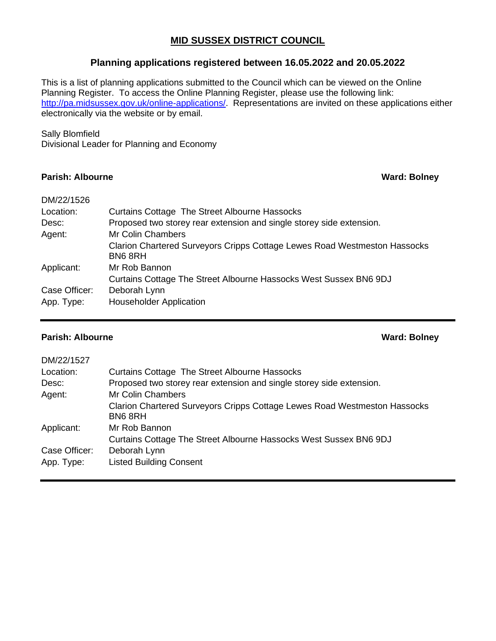### **MID SUSSEX DISTRICT COUNCIL**

### **Planning applications registered between 16.05.2022 and 20.05.2022**

This is a list of planning applications submitted to the Council which can be viewed on the Online Planning Register. To access the Online Planning Register, please use the following link: [http://pa.midsussex.gov.uk/online-applications/.](http://pa.midsussex.gov.uk/online-applications/) Representations are invited on these applications either electronically via the website or by email.

### Sally Blomfield

Divisional Leader for Planning and Economy

### **Parish: Albourne Ward: Bolney**

| DM/22/1526    |                                                                                     |
|---------------|-------------------------------------------------------------------------------------|
| Location:     | Curtains Cottage The Street Albourne Hassocks                                       |
| Desc:         | Proposed two storey rear extension and single storey side extension.                |
| Agent:        | Mr Colin Chambers                                                                   |
|               | Clarion Chartered Surveyors Cripps Cottage Lewes Road Westmeston Hassocks<br>BN68RH |
| Applicant:    | Mr Rob Bannon                                                                       |
|               | Curtains Cottage The Street Albourne Hassocks West Sussex BN6 9DJ                   |
| Case Officer: | Deborah Lynn                                                                        |
| App. Type:    | <b>Householder Application</b>                                                      |
|               |                                                                                     |

### **Parish: Albourne Ward: Bolney**

| DM/22/1527    |                                                                                     |
|---------------|-------------------------------------------------------------------------------------|
| Location:     | <b>Curtains Cottage The Street Albourne Hassocks</b>                                |
| Desc:         | Proposed two storey rear extension and single storey side extension.                |
| Agent:        | <b>Mr Colin Chambers</b>                                                            |
|               | Clarion Chartered Surveyors Cripps Cottage Lewes Road Westmeston Hassocks<br>BN68RH |
| Applicant:    | Mr Rob Bannon                                                                       |
|               | Curtains Cottage The Street Albourne Hassocks West Sussex BN6 9DJ                   |
| Case Officer: | Deborah Lynn                                                                        |
| App. Type:    | <b>Listed Building Consent</b>                                                      |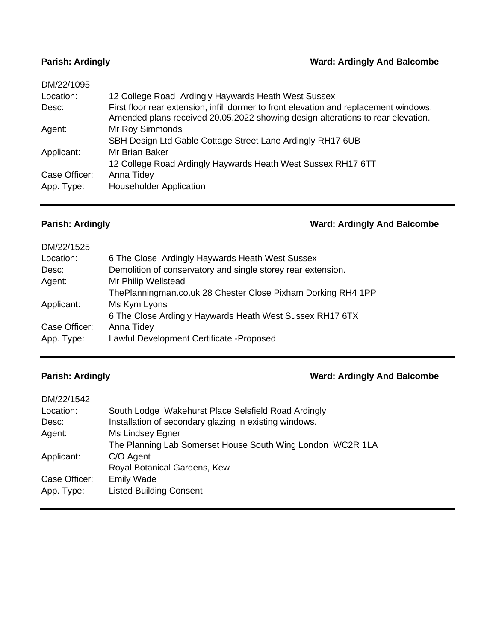## **Parish: Ardingly Ward: Ardingly And Balcombe**

| DM/22/1095    |                                                                                                                                                                          |
|---------------|--------------------------------------------------------------------------------------------------------------------------------------------------------------------------|
| Location:     | 12 College Road Ardingly Haywards Heath West Sussex                                                                                                                      |
| Desc:         | First floor rear extension, infill dormer to front elevation and replacement windows.<br>Amended plans received 20.05.2022 showing design alterations to rear elevation. |
| Agent:        | Mr Roy Simmonds                                                                                                                                                          |
|               | SBH Design Ltd Gable Cottage Street Lane Ardingly RH17 6UB                                                                                                               |
| Applicant:    | Mr Brian Baker                                                                                                                                                           |
|               | 12 College Road Ardingly Haywards Heath West Sussex RH17 6TT                                                                                                             |
| Case Officer: | Anna Tidey                                                                                                                                                               |
| App. Type:    | <b>Householder Application</b>                                                                                                                                           |
|               |                                                                                                                                                                          |

# **Parish: Ardingly Ward: Ardingly And Balcombe**

| DM/22/1525    |                                                              |
|---------------|--------------------------------------------------------------|
| Location:     | 6 The Close Ardingly Haywards Heath West Sussex              |
| Desc:         | Demolition of conservatory and single storey rear extension. |
| Agent:        | Mr Philip Wellstead                                          |
|               | ThePlanningman.co.uk 28 Chester Close Pixham Dorking RH4 1PP |
| Applicant:    | Ms Kym Lyons                                                 |
|               | 6 The Close Ardingly Haywards Heath West Sussex RH17 6TX     |
| Case Officer: | Anna Tidey                                                   |
| App. Type:    | Lawful Development Certificate - Proposed                    |
|               |                                                              |

# **Parish: Ardingly Ward: Ardingly And Balcombe**

| DM/22/1542    |                                                            |
|---------------|------------------------------------------------------------|
| Location:     | South Lodge Wakehurst Place Selsfield Road Ardingly        |
| Desc:         | Installation of secondary glazing in existing windows.     |
| Agent:        | Ms Lindsey Egner                                           |
|               | The Planning Lab Somerset House South Wing London WC2R 1LA |
| Applicant:    | C/O Agent                                                  |
|               | Royal Botanical Gardens, Kew                               |
| Case Officer: | <b>Emily Wade</b>                                          |
| App. Type:    | <b>Listed Building Consent</b>                             |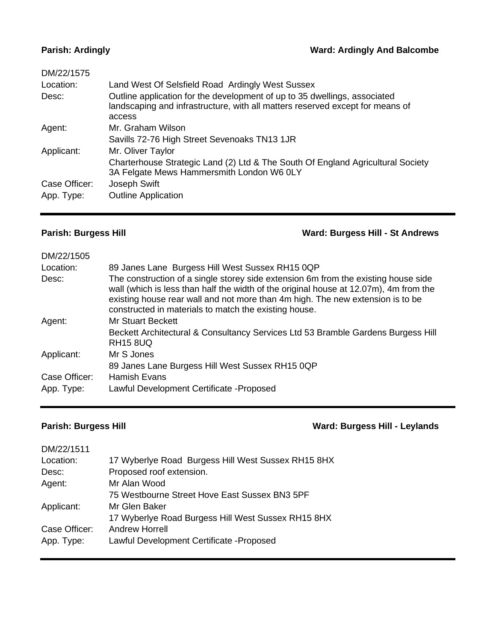### **Parish: Ardingly Ward: Ardingly And Balcombe**

| DM/22/1575    |                                                                                                                                                                      |
|---------------|----------------------------------------------------------------------------------------------------------------------------------------------------------------------|
| Location:     | Land West Of Selsfield Road Ardingly West Sussex                                                                                                                     |
| Desc:         | Outline application for the development of up to 35 dwellings, associated<br>landscaping and infrastructure, with all matters reserved except for means of<br>access |
| Agent:        | Mr. Graham Wilson                                                                                                                                                    |
|               | Savills 72-76 High Street Sevenoaks TN13 1JR                                                                                                                         |
| Applicant:    | Mr. Oliver Taylor                                                                                                                                                    |
|               | Charterhouse Strategic Land (2) Ltd & The South Of England Agricultural Society<br>3A Felgate Mews Hammersmith London W6 0LY                                         |
| Case Officer: | Joseph Swift                                                                                                                                                         |
| App. Type:    | <b>Outline Application</b>                                                                                                                                           |
|               |                                                                                                                                                                      |

**Parish: Burgess Hill Ward: Burgess Hill - St Andrews**

| DM/22/1505    |                                                                                                                                                                                                                                                                                                                        |
|---------------|------------------------------------------------------------------------------------------------------------------------------------------------------------------------------------------------------------------------------------------------------------------------------------------------------------------------|
| Location:     | 89 Janes Lane Burgess Hill West Sussex RH15 0QP                                                                                                                                                                                                                                                                        |
| Desc:         | The construction of a single storey side extension 6m from the existing house side<br>wall (which is less than half the width of the original house at 12.07m), 4m from the<br>existing house rear wall and not more than 4m high. The new extension is to be<br>constructed in materials to match the existing house. |
| Agent:        | <b>Mr Stuart Beckett</b>                                                                                                                                                                                                                                                                                               |
|               | Beckett Architectural & Consultancy Services Ltd 53 Bramble Gardens Burgess Hill<br><b>RH15 8UQ</b>                                                                                                                                                                                                                    |
| Applicant:    | Mr S Jones                                                                                                                                                                                                                                                                                                             |
|               | 89 Janes Lane Burgess Hill West Sussex RH15 0QP                                                                                                                                                                                                                                                                        |
| Case Officer: | <b>Hamish Evans</b>                                                                                                                                                                                                                                                                                                    |
| App. Type:    | Lawful Development Certificate - Proposed                                                                                                                                                                                                                                                                              |

**Parish: Burgess Hill Ward: Burgess Hill - Leylands**

| DM/22/1511    |                                                    |
|---------------|----------------------------------------------------|
| Location:     | 17 Wyberlye Road Burgess Hill West Sussex RH15 8HX |
| Desc:         | Proposed roof extension.                           |
| Agent:        | Mr Alan Wood                                       |
|               | 75 Westbourne Street Hove East Sussex BN3 5PF      |
| Applicant:    | Mr Glen Baker                                      |
|               | 17 Wyberlye Road Burgess Hill West Sussex RH15 8HX |
| Case Officer: | <b>Andrew Horrell</b>                              |
| App. Type:    | Lawful Development Certificate - Proposed          |
|               |                                                    |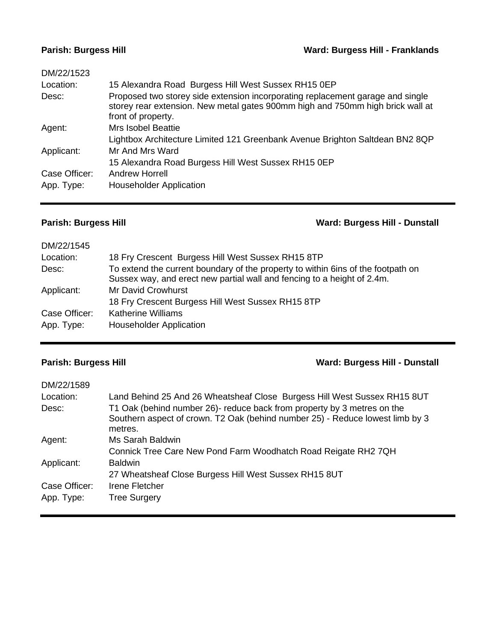# **Parish: Burgess Hill Ward: Burgess Hill - Franklands**

| DM/22/1523    |                                                                                                                                                                                        |
|---------------|----------------------------------------------------------------------------------------------------------------------------------------------------------------------------------------|
| Location:     | 15 Alexandra Road Burgess Hill West Sussex RH15 0EP                                                                                                                                    |
| Desc:         | Proposed two storey side extension incorporating replacement garage and single<br>storey rear extension. New metal gates 900mm high and 750mm high brick wall at<br>front of property. |
| Agent:        | Mrs Isobel Beattie                                                                                                                                                                     |
|               | Lightbox Architecture Limited 121 Greenbank Avenue Brighton Saltdean BN2 8QP                                                                                                           |
| Applicant:    | Mr And Mrs Ward                                                                                                                                                                        |
|               | 15 Alexandra Road Burgess Hill West Sussex RH15 0EP                                                                                                                                    |
| Case Officer: | <b>Andrew Horrell</b>                                                                                                                                                                  |
| App. Type:    | <b>Householder Application</b>                                                                                                                                                         |
|               |                                                                                                                                                                                        |

**Parish: Burgess Hill Ward: Burgess Hill - Dunstall**

| DM/22/1545    |                                                                                                                                                             |
|---------------|-------------------------------------------------------------------------------------------------------------------------------------------------------------|
| Location:     | 18 Fry Crescent Burgess Hill West Sussex RH15 8TP                                                                                                           |
| Desc:         | To extend the current boundary of the property to within 6ins of the footpath on<br>Sussex way, and erect new partial wall and fencing to a height of 2.4m. |
| Applicant:    | <b>Mr David Crowhurst</b>                                                                                                                                   |
|               | 18 Fry Crescent Burgess Hill West Sussex RH15 8TP                                                                                                           |
| Case Officer: | <b>Katherine Williams</b>                                                                                                                                   |
| App. Type:    | <b>Householder Application</b>                                                                                                                              |

# **Parish: Burgess Hill Ward: Burgess Hill - Dunstall**

| DM/22/1589    |                                                                                                                                                                     |
|---------------|---------------------------------------------------------------------------------------------------------------------------------------------------------------------|
| Location:     | Land Behind 25 And 26 Wheatsheaf Close Burgess Hill West Sussex RH15 8UT                                                                                            |
| Desc:         | T1 Oak (behind number 26)- reduce back from property by 3 metres on the<br>Southern aspect of crown. T2 Oak (behind number 25) - Reduce lowest limb by 3<br>metres. |
| Agent:        | Ms Sarah Baldwin                                                                                                                                                    |
|               | Connick Tree Care New Pond Farm Woodhatch Road Reigate RH2 7QH                                                                                                      |
| Applicant:    | <b>Baldwin</b>                                                                                                                                                      |
|               | 27 Wheatsheaf Close Burgess Hill West Sussex RH15 8UT                                                                                                               |
| Case Officer: | Irene Fletcher                                                                                                                                                      |
| App. Type:    | <b>Tree Surgery</b>                                                                                                                                                 |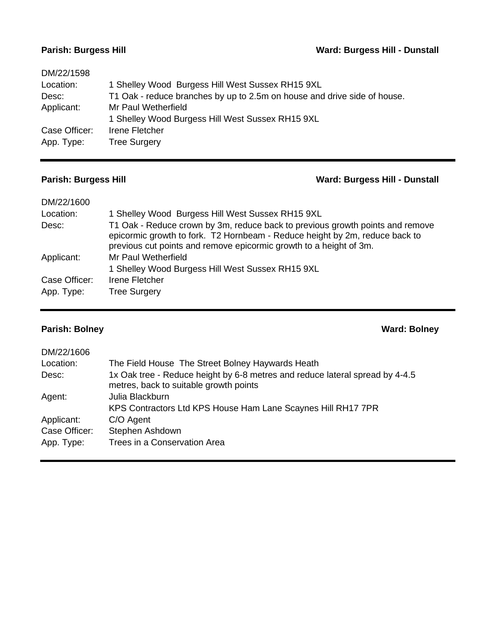# **Parish: Burgess Hill Ward: Burgess Hill - Dunstall**

| DM/22/1598    |                                                                          |
|---------------|--------------------------------------------------------------------------|
| Location:     | 1 Shelley Wood Burgess Hill West Sussex RH15 9XL                         |
| Desc:         | T1 Oak - reduce branches by up to 2.5m on house and drive side of house. |
| Applicant:    | Mr Paul Wetherfield                                                      |
|               | 1 Shelley Wood Burgess Hill West Sussex RH15 9XL                         |
| Case Officer: | Irene Fletcher                                                           |
| App. Type:    | <b>Tree Surgery</b>                                                      |
|               |                                                                          |

# **Parish: Burgess Hill Ward: Burgess Hill - Dunstall**

| DM/22/1600                  |                                                                                                                                                                                                                                    |
|-----------------------------|------------------------------------------------------------------------------------------------------------------------------------------------------------------------------------------------------------------------------------|
| Location:                   | 1 Shelley Wood Burgess Hill West Sussex RH15 9XL                                                                                                                                                                                   |
| Desc:                       | T1 Oak - Reduce crown by 3m, reduce back to previous growth points and remove<br>epicormic growth to fork. T2 Hornbeam - Reduce height by 2m, reduce back to<br>previous cut points and remove epicormic growth to a height of 3m. |
| Applicant:                  | Mr Paul Wetherfield<br>1 Shelley Wood Burgess Hill West Sussex RH15 9XL                                                                                                                                                            |
| Case Officer:<br>App. Type: | Irene Fletcher<br><b>Tree Surgery</b>                                                                                                                                                                                              |

# **Parish: Bolney Ward: Bolney**

| DM/22/1606    |                                                                                                                        |
|---------------|------------------------------------------------------------------------------------------------------------------------|
| Location:     | The Field House The Street Bolney Haywards Heath                                                                       |
| Desc:         | 1x Oak tree - Reduce height by 6-8 metres and reduce lateral spread by 4-4.5<br>metres, back to suitable growth points |
| Agent:        | Julia Blackburn                                                                                                        |
|               | KPS Contractors Ltd KPS House Ham Lane Scaynes Hill RH17 7PR                                                           |
| Applicant:    | C/O Agent                                                                                                              |
| Case Officer: | Stephen Ashdown                                                                                                        |
| App. Type:    | Trees in a Conservation Area                                                                                           |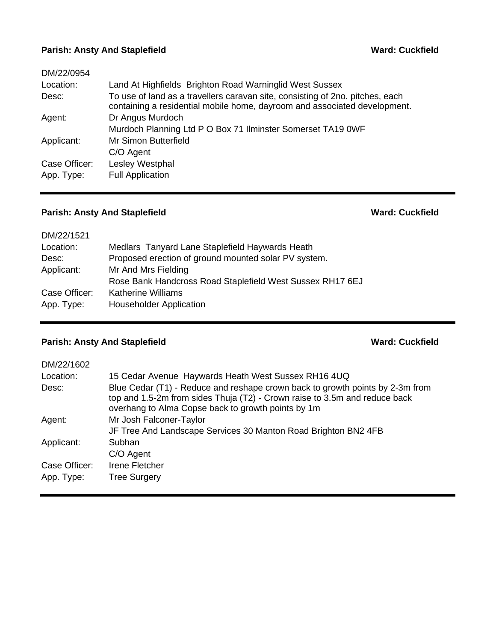### **Parish: Ansty And Staplefield <b>Ward: Cuckfield Ward: Cuckfield**

| DM/22/0954    |                                                                                                                                                            |
|---------------|------------------------------------------------------------------------------------------------------------------------------------------------------------|
| Location:     | Land At Highfields Brighton Road Warninglid West Sussex                                                                                                    |
| Desc:         | To use of land as a travellers caravan site, consisting of 2no. pitches, each<br>containing a residential mobile home, dayroom and associated development. |
| Agent:        | Dr Angus Murdoch                                                                                                                                           |
|               | Murdoch Planning Ltd P O Box 71 Ilminster Somerset TA19 0WF                                                                                                |
| Applicant:    | Mr Simon Butterfield                                                                                                                                       |
|               | C/O Agent                                                                                                                                                  |
| Case Officer: | Lesley Westphal                                                                                                                                            |
| App. Type:    | <b>Full Application</b>                                                                                                                                    |

## **Parish: Ansty And Staplefield Ward: Cuckfield Ward: Cuckfield**

| DM/22/1521    |                                                           |
|---------------|-----------------------------------------------------------|
| Location:     | Medlars Tanyard Lane Staplefield Haywards Heath           |
| Desc:         | Proposed erection of ground mounted solar PV system.      |
| Applicant:    | Mr And Mrs Fielding                                       |
|               | Rose Bank Handcross Road Staplefield West Sussex RH17 6EJ |
| Case Officer: | <b>Katherine Williams</b>                                 |
| App. Type:    | <b>Householder Application</b>                            |
|               |                                                           |

# **Parish: Ansty And Staplefield <b>Ward: Cuckfield Ward: Cuckfield**

| DM/22/1602    |                                                                                                                                                                                                                   |
|---------------|-------------------------------------------------------------------------------------------------------------------------------------------------------------------------------------------------------------------|
| Location:     | 15 Cedar Avenue Haywards Heath West Sussex RH16 4UQ                                                                                                                                                               |
| Desc:         | Blue Cedar (T1) - Reduce and reshape crown back to growth points by 2-3m from<br>top and 1.5-2m from sides Thuja (T2) - Crown raise to 3.5m and reduce back<br>overhang to Alma Copse back to growth points by 1m |
| Agent:        | Mr Josh Falconer-Taylor                                                                                                                                                                                           |
|               | JF Tree And Landscape Services 30 Manton Road Brighton BN2 4FB                                                                                                                                                    |
| Applicant:    | Subhan                                                                                                                                                                                                            |
|               | C/O Agent                                                                                                                                                                                                         |
| Case Officer: | Irene Fletcher                                                                                                                                                                                                    |
| App. Type:    | <b>Tree Surgery</b>                                                                                                                                                                                               |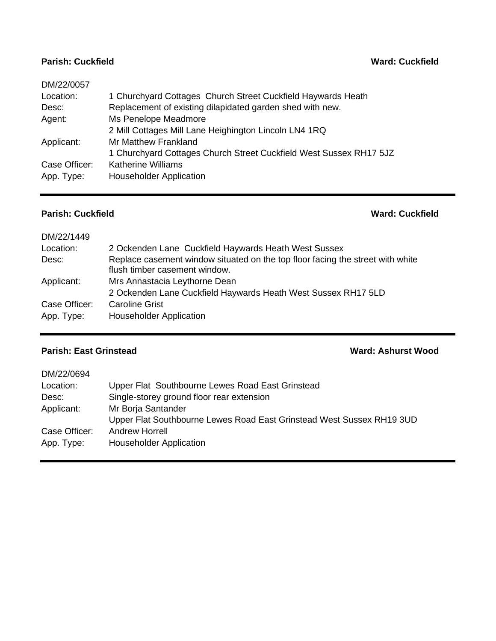## **Parish: Cuckfield Ward: Cuckfield**

| DM/22/0057    |                                                                    |
|---------------|--------------------------------------------------------------------|
| Location:     | 1 Churchyard Cottages Church Street Cuckfield Haywards Heath       |
| Desc:         | Replacement of existing dilapidated garden shed with new.          |
| Agent:        | Ms Penelope Meadmore                                               |
|               | 2 Mill Cottages Mill Lane Heighington Lincoln LN4 1RQ              |
| Applicant:    | <b>Mr Matthew Frankland</b>                                        |
|               | 1 Churchyard Cottages Church Street Cuckfield West Sussex RH17 5JZ |
| Case Officer: | <b>Katherine Williams</b>                                          |
| App. Type:    | <b>Householder Application</b>                                     |
|               |                                                                    |

### **Parish: Cuckfield Ward: Cuckfield**

| DM/22/1449    |                                                                                                                 |
|---------------|-----------------------------------------------------------------------------------------------------------------|
| Location:     | 2 Ockenden Lane Cuckfield Haywards Heath West Sussex                                                            |
| Desc:         | Replace casement window situated on the top floor facing the street with white<br>flush timber casement window. |
| Applicant:    | Mrs Annastacia Leythorne Dean                                                                                   |
|               | 2 Ockenden Lane Cuckfield Haywards Heath West Sussex RH17 5LD                                                   |
| Case Officer: | <b>Caroline Grist</b>                                                                                           |
| App. Type:    | <b>Householder Application</b>                                                                                  |
|               |                                                                                                                 |

# **Parish: East Grinstead Ward: Ashurst Wood**

| DM/22/0694    |                                                                       |
|---------------|-----------------------------------------------------------------------|
| Location:     | Upper Flat Southbourne Lewes Road East Grinstead                      |
| Desc:         | Single-storey ground floor rear extension                             |
| Applicant:    | Mr Borja Santander                                                    |
|               | Upper Flat Southbourne Lewes Road East Grinstead West Sussex RH19 3UD |
| Case Officer: | <b>Andrew Horrell</b>                                                 |
| App. Type:    | <b>Householder Application</b>                                        |
|               |                                                                       |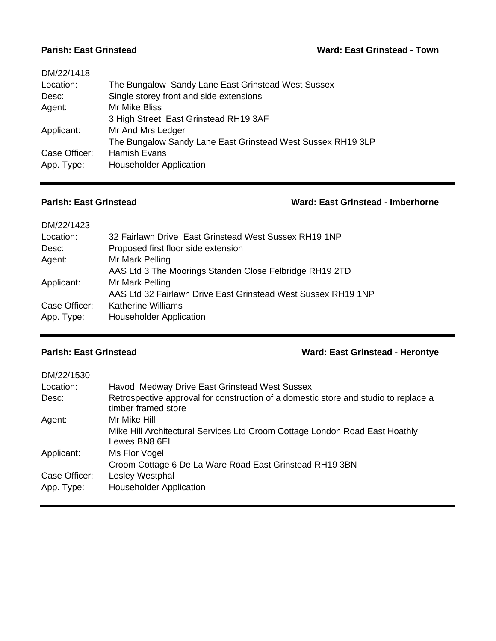| DM/22/1418    |                                                             |
|---------------|-------------------------------------------------------------|
| Location:     | The Bungalow Sandy Lane East Grinstead West Sussex          |
| Desc:         | Single storey front and side extensions                     |
| Agent:        | <b>Mr Mike Bliss</b>                                        |
|               | 3 High Street East Grinstead RH19 3AF                       |
| Applicant:    | Mr And Mrs Ledger                                           |
|               | The Bungalow Sandy Lane East Grinstead West Sussex RH19 3LP |
| Case Officer: | Hamish Evans                                                |
| App. Type:    | <b>Householder Application</b>                              |
|               |                                                             |

# **Parish: East Grinstead Ward: East Grinstead - Imberhorne**

| DM/22/1423    |                                                               |
|---------------|---------------------------------------------------------------|
| Location:     | 32 Fairlawn Drive East Grinstead West Sussex RH19 1NP         |
| Desc:         | Proposed first floor side extension                           |
| Agent:        | Mr Mark Pelling                                               |
|               | AAS Ltd 3 The Moorings Standen Close Felbridge RH19 2TD       |
| Applicant:    | Mr Mark Pelling                                               |
|               | AAS Ltd 32 Fairlawn Drive East Grinstead West Sussex RH19 1NP |
| Case Officer: | <b>Katherine Williams</b>                                     |
| App. Type:    | <b>Householder Application</b>                                |
|               |                                                               |

# **Parish: East Grinstead Ward: East Grinstead - Herontye**

| DM/22/1530    |                                                                                                            |
|---------------|------------------------------------------------------------------------------------------------------------|
| Location:     | Havod Medway Drive East Grinstead West Sussex                                                              |
| Desc:         | Retrospective approval for construction of a domestic store and studio to replace a<br>timber framed store |
| Agent:        | Mr Mike Hill                                                                                               |
|               | Mike Hill Architectural Services Ltd Croom Cottage London Road East Hoathly<br>Lewes BN8 6EL               |
| Applicant:    | Ms Flor Vogel                                                                                              |
|               | Croom Cottage 6 De La Ware Road East Grinstead RH19 3BN                                                    |
| Case Officer: | Lesley Westphal                                                                                            |
| App. Type:    | <b>Householder Application</b>                                                                             |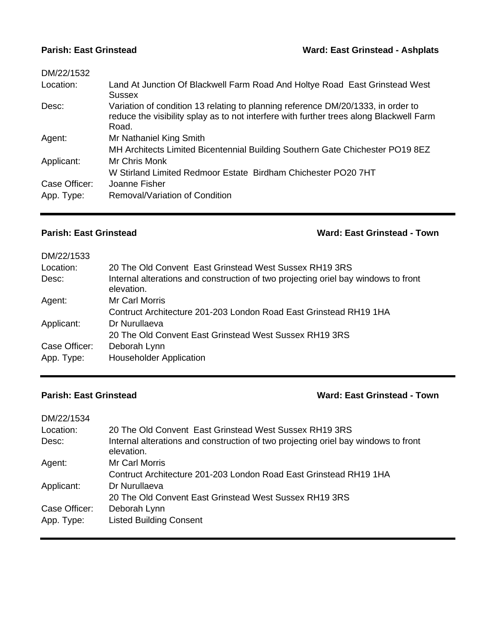| DM/22/1532    |                                                                                                                                                                                      |
|---------------|--------------------------------------------------------------------------------------------------------------------------------------------------------------------------------------|
| Location:     | Land At Junction Of Blackwell Farm Road And Holtye Road East Grinstead West<br>Sussex                                                                                                |
| Desc:         | Variation of condition 13 relating to planning reference DM/20/1333, in order to<br>reduce the visibility splay as to not interfere with further trees along Blackwell Farm<br>Road. |
| Agent:        | Mr Nathaniel King Smith                                                                                                                                                              |
|               | MH Architects Limited Bicentennial Building Southern Gate Chichester PO19 8EZ                                                                                                        |
| Applicant:    | Mr Chris Monk                                                                                                                                                                        |
|               | W Stirland Limited Redmoor Estate Birdham Chichester PO20 7HT                                                                                                                        |
| Case Officer: | Joanne Fisher                                                                                                                                                                        |
| App. Type:    | Removal/Variation of Condition                                                                                                                                                       |

**Parish: East Grinstead Ward: East Grinstead - Town**

| 20 The Old Convent East Grinstead West Sussex RH19 3RS                                           |
|--------------------------------------------------------------------------------------------------|
| Internal alterations and construction of two projecting oriel bay windows to front<br>elevation. |
| Mr Carl Morris                                                                                   |
| Contruct Architecture 201-203 London Road East Grinstead RH19 1HA                                |
| Dr Nurullaeva                                                                                    |
| 20 The Old Convent East Grinstead West Sussex RH19 3RS                                           |
| Deborah Lynn                                                                                     |
| <b>Householder Application</b>                                                                   |
|                                                                                                  |

### **Parish: East Grinstead Ward: East Grinstead - Town**

| DM/22/1534    |                                                                                                  |
|---------------|--------------------------------------------------------------------------------------------------|
| Location:     | 20 The Old Convent East Grinstead West Sussex RH19 3RS                                           |
| Desc:         | Internal alterations and construction of two projecting oriel bay windows to front<br>elevation. |
| Agent:        | Mr Carl Morris                                                                                   |
|               | Contruct Architecture 201-203 London Road East Grinstead RH19 1HA                                |
| Applicant:    | Dr Nurullaeva                                                                                    |
|               | 20 The Old Convent East Grinstead West Sussex RH19 3RS                                           |
| Case Officer: | Deborah Lynn                                                                                     |
| App. Type:    | <b>Listed Building Consent</b>                                                                   |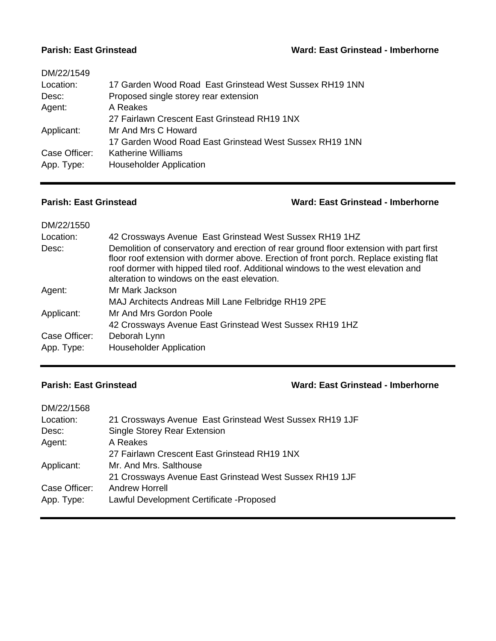| DM/22/1549    |                                                         |
|---------------|---------------------------------------------------------|
| Location:     | 17 Garden Wood Road East Grinstead West Sussex RH19 1NN |
| Desc:         | Proposed single storey rear extension                   |
| Agent:        | A Reakes                                                |
|               | 27 Fairlawn Crescent East Grinstead RH19 1NX            |
| Applicant:    | Mr And Mrs C Howard                                     |
|               | 17 Garden Wood Road East Grinstead West Sussex RH19 1NN |
| Case Officer: | Katherine Williams                                      |
| App. Type:    | <b>Householder Application</b>                          |
|               |                                                         |

### **Parish: East Grinstead Ward: East Grinstead - Imberhorne**

| DM/22/1550    |                                                                                                                                                                                                                                                                                                                      |
|---------------|----------------------------------------------------------------------------------------------------------------------------------------------------------------------------------------------------------------------------------------------------------------------------------------------------------------------|
| Location:     | 42 Crossways Avenue East Grinstead West Sussex RH19 1HZ                                                                                                                                                                                                                                                              |
| Desc:         | Demolition of conservatory and erection of rear ground floor extension with part first<br>floor roof extension with dormer above. Erection of front porch. Replace existing flat<br>roof dormer with hipped tiled roof. Additional windows to the west elevation and<br>alteration to windows on the east elevation. |
| Agent:        | Mr Mark Jackson                                                                                                                                                                                                                                                                                                      |
|               | MAJ Architects Andreas Mill Lane Felbridge RH19 2PE                                                                                                                                                                                                                                                                  |
| Applicant:    | Mr And Mrs Gordon Poole                                                                                                                                                                                                                                                                                              |
|               | 42 Crossways Avenue East Grinstead West Sussex RH19 1HZ                                                                                                                                                                                                                                                              |
| Case Officer: | Deborah Lynn                                                                                                                                                                                                                                                                                                         |
| App. Type:    | <b>Householder Application</b>                                                                                                                                                                                                                                                                                       |

# **Parish: East Grinstead Ward: East Grinstead - Imberhorne**

| DM/22/1568    |                                                         |
|---------------|---------------------------------------------------------|
| Location:     | 21 Crossways Avenue East Grinstead West Sussex RH19 1JF |
| Desc:         | Single Storey Rear Extension                            |
| Agent:        | A Reakes                                                |
|               | 27 Fairlawn Crescent East Grinstead RH19 1NX            |
| Applicant:    | Mr. And Mrs. Salthouse                                  |
|               | 21 Crossways Avenue East Grinstead West Sussex RH19 1JF |
| Case Officer: | Andrew Horrell                                          |
| App. Type:    | Lawful Development Certificate - Proposed               |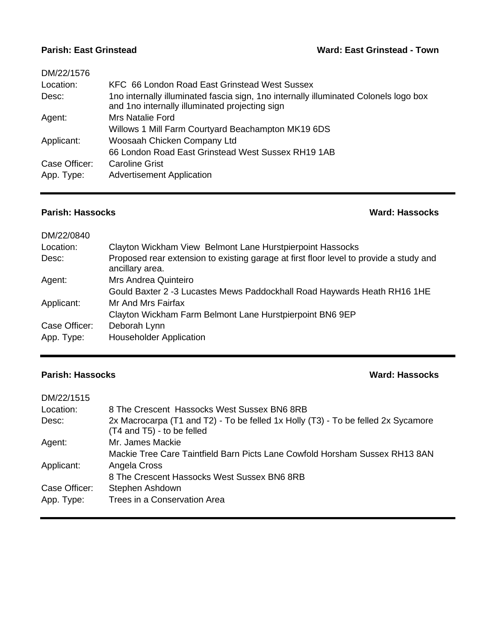| DM/22/1576    |                                                                                                                                        |
|---------------|----------------------------------------------------------------------------------------------------------------------------------------|
| Location:     | KFC 66 London Road East Grinstead West Sussex                                                                                          |
| Desc:         | 1no internally illuminated fascia sign, 1no internally illuminated Colonels logo box<br>and 1no internally illuminated projecting sign |
| Agent:        | Mrs Natalie Ford                                                                                                                       |
|               | Willows 1 Mill Farm Courtyard Beachampton MK19 6DS                                                                                     |
| Applicant:    | Woosaah Chicken Company Ltd                                                                                                            |
|               | 66 London Road East Grinstead West Sussex RH19 1AB                                                                                     |
| Case Officer: | <b>Caroline Grist</b>                                                                                                                  |
| App. Type:    | <b>Advertisement Application</b>                                                                                                       |

### **Parish: Hassocks Ward: Hassocks**

| DM/22/0840    |                                                                                                           |
|---------------|-----------------------------------------------------------------------------------------------------------|
| Location:     | Clayton Wickham View Belmont Lane Hurstpierpoint Hassocks                                                 |
| Desc:         | Proposed rear extension to existing garage at first floor level to provide a study and<br>ancillary area. |
| Agent:        | Mrs Andrea Quinteiro                                                                                      |
|               | Gould Baxter 2 -3 Lucastes Mews Paddockhall Road Haywards Heath RH16 1HE                                  |
| Applicant:    | Mr And Mrs Fairfax                                                                                        |
|               | Clayton Wickham Farm Belmont Lane Hurstpierpoint BN6 9EP                                                  |
| Case Officer: | Deborah Lynn                                                                                              |
| App. Type:    | <b>Householder Application</b>                                                                            |

### **Parish: Hassocks Ward: Hassocks**

| DM/22/1515    |                                                                                                                 |
|---------------|-----------------------------------------------------------------------------------------------------------------|
| Location:     | 8 The Crescent Hassocks West Sussex BN6 8RB                                                                     |
| Desc:         | 2x Macrocarpa (T1 and T2) - To be felled 1x Holly (T3) - To be felled 2x Sycamore<br>(T4 and T5) - to be felled |
| Agent:        | Mr. James Mackie                                                                                                |
|               | Mackie Tree Care Taintfield Barn Picts Lane Cowfold Horsham Sussex RH13 8AN                                     |
| Applicant:    | Angela Cross                                                                                                    |
|               | 8 The Crescent Hassocks West Sussex BN6 8RB                                                                     |
| Case Officer: | Stephen Ashdown                                                                                                 |
| App. Type:    | Trees in a Conservation Area                                                                                    |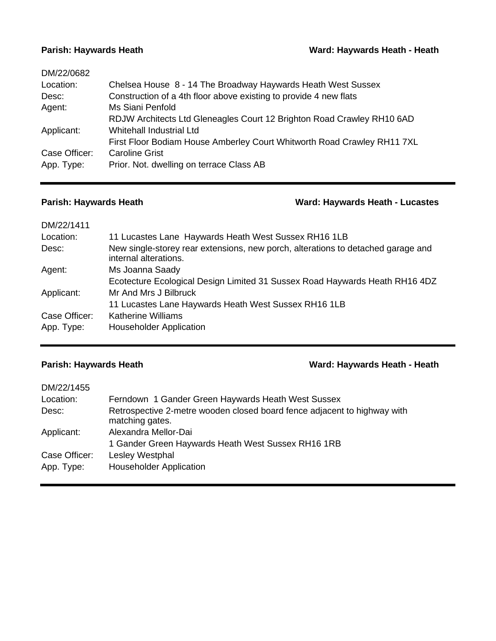| DM/22/0682    |                                                                         |
|---------------|-------------------------------------------------------------------------|
| Location:     | Chelsea House 8 - 14 The Broadway Haywards Heath West Sussex            |
| Desc:         | Construction of a 4th floor above existing to provide 4 new flats       |
| Agent:        | Ms Siani Penfold                                                        |
|               | RDJW Architects Ltd Gleneagles Court 12 Brighton Road Crawley RH10 6AD  |
| Applicant:    | Whitehall Industrial Ltd                                                |
|               | First Floor Bodiam House Amberley Court Whitworth Road Crawley RH11 7XL |
| Case Officer: | <b>Caroline Grist</b>                                                   |
| App. Type:    | Prior. Not. dwelling on terrace Class AB                                |
|               |                                                                         |

# **Parish: Haywards Heath Ward: Haywards Heath - Lucastes**

| DM/22/1411    |                                                                                                           |
|---------------|-----------------------------------------------------------------------------------------------------------|
| Location:     | 11 Lucastes Lane Haywards Heath West Sussex RH16 1LB                                                      |
| Desc:         | New single-storey rear extensions, new porch, alterations to detached garage and<br>internal alterations. |
| Agent:        | Ms Joanna Saady                                                                                           |
|               | Ecotecture Ecological Design Limited 31 Sussex Road Haywards Heath RH16 4DZ                               |
| Applicant:    | Mr And Mrs J Bilbruck                                                                                     |
|               | 11 Lucastes Lane Haywards Heath West Sussex RH16 1LB                                                      |
| Case Officer: | <b>Katherine Williams</b>                                                                                 |
| App. Type:    | <b>Householder Application</b>                                                                            |

## **Parish: Haywards Heath Ward: Haywards Heath - Heath**

| DM/22/1455    |                                                                                             |
|---------------|---------------------------------------------------------------------------------------------|
| Location:     | Ferndown 1 Gander Green Haywards Heath West Sussex                                          |
| Desc:         | Retrospective 2-metre wooden closed board fence adjacent to highway with<br>matching gates. |
| Applicant:    | Alexandra Mellor-Dai                                                                        |
|               | 1 Gander Green Haywards Heath West Sussex RH16 1RB                                          |
| Case Officer: | Lesley Westphal                                                                             |
| App. Type:    | <b>Householder Application</b>                                                              |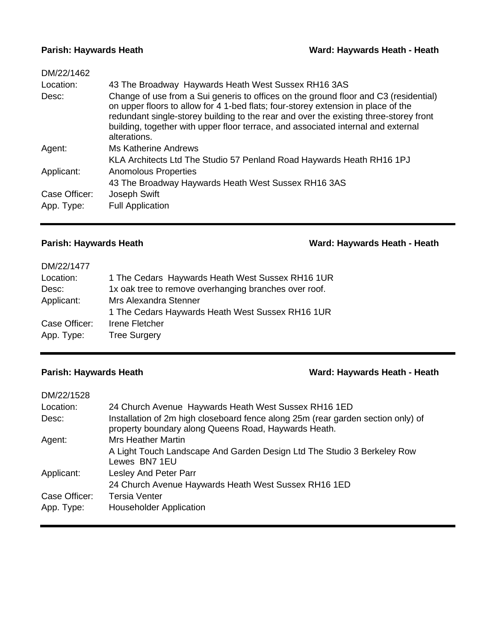| DM/22/1462    |                                                                                                                                                                                                                                                                                                                                                                         |
|---------------|-------------------------------------------------------------------------------------------------------------------------------------------------------------------------------------------------------------------------------------------------------------------------------------------------------------------------------------------------------------------------|
| Location:     | 43 The Broadway Haywards Heath West Sussex RH16 3AS                                                                                                                                                                                                                                                                                                                     |
| Desc:         | Change of use from a Sui generis to offices on the ground floor and C3 (residential)<br>on upper floors to allow for 4 1-bed flats; four-storey extension in place of the<br>redundant single-storey building to the rear and over the existing three-storey front<br>building, together with upper floor terrace, and associated internal and external<br>alterations. |
| Agent:        | Ms Katherine Andrews                                                                                                                                                                                                                                                                                                                                                    |
|               | KLA Architects Ltd The Studio 57 Penland Road Haywards Heath RH16 1PJ                                                                                                                                                                                                                                                                                                   |
| Applicant:    | Anomolous Properties                                                                                                                                                                                                                                                                                                                                                    |
|               | 43 The Broadway Haywards Heath West Sussex RH16 3AS                                                                                                                                                                                                                                                                                                                     |
| Case Officer: | Joseph Swift                                                                                                                                                                                                                                                                                                                                                            |
| App. Type:    | <b>Full Application</b>                                                                                                                                                                                                                                                                                                                                                 |

## **Parish: Haywards Heath Ward: Haywards Heath - Heath**

| DM/22/1477    |                                                       |
|---------------|-------------------------------------------------------|
| Location:     | 1 The Cedars Haywards Heath West Sussex RH16 1UR      |
| Desc:         | 1x oak tree to remove overhanging branches over roof. |
| Applicant:    | Mrs Alexandra Stenner                                 |
|               | 1 The Cedars Haywards Heath West Sussex RH16 1UR      |
| Case Officer: | Irene Fletcher                                        |
| App. Type:    | <b>Tree Surgery</b>                                   |
|               |                                                       |

# **Parish: Haywards Heath Ward: Haywards Heath - Heath**

| DM/22/1528    |                                                                                                                                          |
|---------------|------------------------------------------------------------------------------------------------------------------------------------------|
| Location:     | 24 Church Avenue Haywards Heath West Sussex RH16 1ED                                                                                     |
| Desc:         | Installation of 2m high closeboard fence along 25m (rear garden section only) of<br>property boundary along Queens Road, Haywards Heath. |
| Agent:        | <b>Mrs Heather Martin</b>                                                                                                                |
|               | A Light Touch Landscape And Garden Design Ltd The Studio 3 Berkeley Row<br>Lewes BN7 1EU                                                 |
| Applicant:    | <b>Lesley And Peter Parr</b>                                                                                                             |
|               | 24 Church Avenue Haywards Heath West Sussex RH16 1ED                                                                                     |
| Case Officer: | <b>Tersia Venter</b>                                                                                                                     |
| App. Type:    | <b>Householder Application</b>                                                                                                           |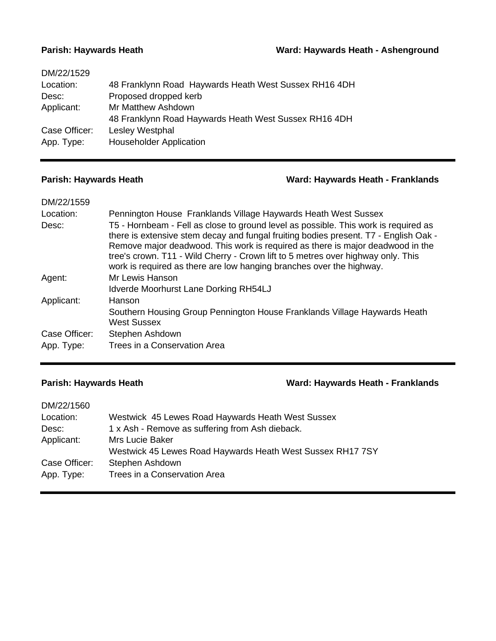### **Parish: Haywards Heath Ward: Haywards Heath - Ashenground**

| DM/22/1529    |                                                       |
|---------------|-------------------------------------------------------|
| Location:     | 48 Franklynn Road Haywards Heath West Sussex RH16 4DH |
| Desc:         | Proposed dropped kerb                                 |
| Applicant:    | Mr Matthew Ashdown                                    |
|               | 48 Franklynn Road Haywards Heath West Sussex RH16 4DH |
| Case Officer: | Lesley Westphal                                       |
| App. Type:    | <b>Householder Application</b>                        |
|               |                                                       |

### **Parish: Haywards Heath Ward: Haywards Heath - Franklands**

| DM/22/1559    |                                                                                                                                                                                                                                                                                                                                                                                                                           |
|---------------|---------------------------------------------------------------------------------------------------------------------------------------------------------------------------------------------------------------------------------------------------------------------------------------------------------------------------------------------------------------------------------------------------------------------------|
| Location:     | Pennington House Franklands Village Haywards Heath West Sussex                                                                                                                                                                                                                                                                                                                                                            |
| Desc:         | T5 - Hornbeam - Fell as close to ground level as possible. This work is required as<br>there is extensive stem decay and fungal fruiting bodies present. T7 - English Oak -<br>Remove major deadwood. This work is required as there is major deadwood in the<br>tree's crown. T11 - Wild Cherry - Crown lift to 5 metres over highway only. This<br>work is required as there are low hanging branches over the highway. |
| Agent:        | Mr Lewis Hanson                                                                                                                                                                                                                                                                                                                                                                                                           |
|               | <b>Idverde Moorhurst Lane Dorking RH54LJ</b>                                                                                                                                                                                                                                                                                                                                                                              |
| Applicant:    | Hanson                                                                                                                                                                                                                                                                                                                                                                                                                    |
|               | Southern Housing Group Pennington House Franklands Village Haywards Heath<br><b>West Sussex</b>                                                                                                                                                                                                                                                                                                                           |
| Case Officer: | Stephen Ashdown                                                                                                                                                                                                                                                                                                                                                                                                           |
| App. Type:    | Trees in a Conservation Area                                                                                                                                                                                                                                                                                                                                                                                              |

## **Parish: Haywards Heath Ward: Haywards Heath - Franklands**

| DM/22/1560    |                                                            |
|---------------|------------------------------------------------------------|
| Location:     | Westwick 45 Lewes Road Haywards Heath West Sussex          |
| Desc:         | 1 x Ash - Remove as suffering from Ash dieback.            |
| Applicant:    | <b>Mrs Lucie Baker</b>                                     |
|               | Westwick 45 Lewes Road Haywards Heath West Sussex RH17 7SY |
| Case Officer: | Stephen Ashdown                                            |
| App. Type:    | Trees in a Conservation Area                               |
|               |                                                            |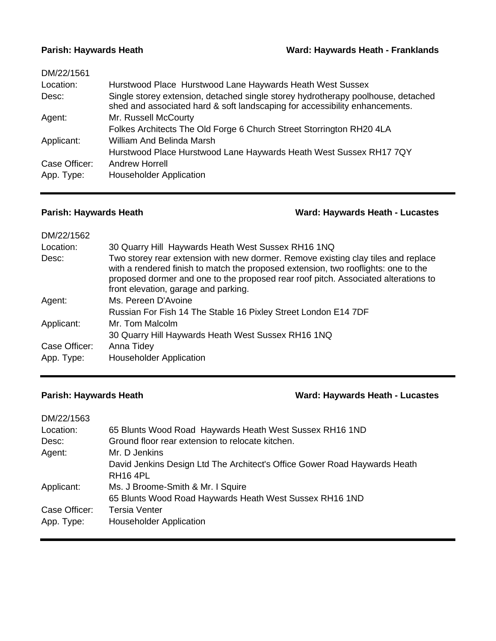### **Parish: Haywards Heath Ward: Haywards Heath - Franklands**

| DM/22/1561    |                                                                                                                                                                 |
|---------------|-----------------------------------------------------------------------------------------------------------------------------------------------------------------|
| Location:     | Hurstwood Place Hurstwood Lane Haywards Heath West Sussex                                                                                                       |
| Desc:         | Single storey extension, detached single storey hydrotherapy poolhouse, detached<br>shed and associated hard & soft landscaping for accessibility enhancements. |
| Agent:        | Mr. Russell McCourty                                                                                                                                            |
|               | Folkes Architects The Old Forge 6 Church Street Storrington RH20 4LA                                                                                            |
| Applicant:    | William And Belinda Marsh                                                                                                                                       |
|               | Hurstwood Place Hurstwood Lane Haywards Heath West Sussex RH17 7QY                                                                                              |
| Case Officer: | <b>Andrew Horrell</b>                                                                                                                                           |
| App. Type:    | <b>Householder Application</b>                                                                                                                                  |
|               |                                                                                                                                                                 |

# **Parish: Haywards Heath Ward: Haywards Heath - Lucastes**

| DM/22/1562    |                                                                                                                                                                                                                                                                                                       |
|---------------|-------------------------------------------------------------------------------------------------------------------------------------------------------------------------------------------------------------------------------------------------------------------------------------------------------|
| Location:     | 30 Quarry Hill Haywards Heath West Sussex RH16 1NQ                                                                                                                                                                                                                                                    |
| Desc:         | Two storey rear extension with new dormer. Remove existing clay tiles and replace<br>with a rendered finish to match the proposed extension, two rooflights: one to the<br>proposed dormer and one to the proposed rear roof pitch. Associated alterations to<br>front elevation, garage and parking. |
| Agent:        | Ms. Pereen D'Avoine                                                                                                                                                                                                                                                                                   |
|               | Russian For Fish 14 The Stable 16 Pixley Street London E14 7DF                                                                                                                                                                                                                                        |
| Applicant:    | Mr. Tom Malcolm                                                                                                                                                                                                                                                                                       |
|               | 30 Quarry Hill Haywards Heath West Sussex RH16 1NQ                                                                                                                                                                                                                                                    |
| Case Officer: | Anna Tidey                                                                                                                                                                                                                                                                                            |
| App. Type:    | <b>Householder Application</b>                                                                                                                                                                                                                                                                        |

# **Parish: Haywards Heath Ward: Haywards Heath - Lucastes**

| DM/22/1563    |                                                                           |
|---------------|---------------------------------------------------------------------------|
| Location:     | 65 Blunts Wood Road Haywards Heath West Sussex RH16 1ND                   |
| Desc:         | Ground floor rear extension to relocate kitchen.                          |
| Agent:        | Mr. D Jenkins                                                             |
|               | David Jenkins Design Ltd The Architect's Office Gower Road Haywards Heath |
|               | RH <sub>16</sub> 4PL                                                      |
| Applicant:    | Ms. J Broome-Smith & Mr. I Squire                                         |
|               | 65 Blunts Wood Road Haywards Heath West Sussex RH16 1ND                   |
| Case Officer: | <b>Tersia Venter</b>                                                      |
| App. Type:    | <b>Householder Application</b>                                            |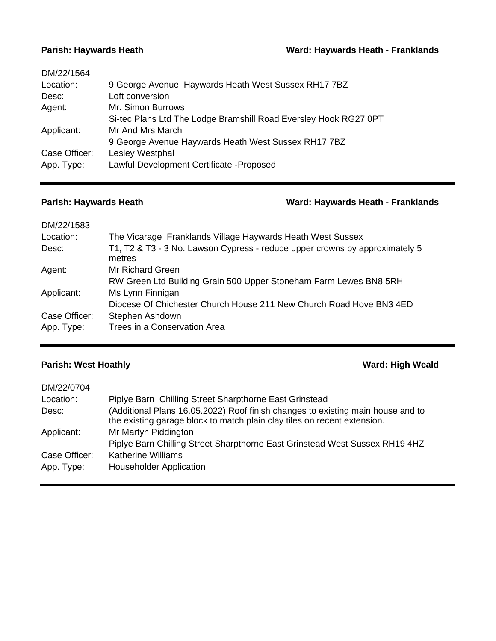| DM/22/1564    |                                                                  |
|---------------|------------------------------------------------------------------|
| Location:     | 9 George Avenue Haywards Heath West Sussex RH17 7BZ              |
| Desc:         | Loft conversion                                                  |
| Agent:        | Mr. Simon Burrows                                                |
|               | Si-tec Plans Ltd The Lodge Bramshill Road Eversley Hook RG27 0PT |
| Applicant:    | Mr And Mrs March                                                 |
|               | 9 George Avenue Haywards Heath West Sussex RH17 7BZ              |
| Case Officer: | Lesley Westphal                                                  |
| App. Type:    | Lawful Development Certificate - Proposed                        |
|               |                                                                  |

# **Parish: Haywards Heath Ward: Haywards Heath - Franklands**

| DM/22/1583    |                                                                                       |
|---------------|---------------------------------------------------------------------------------------|
| Location:     | The Vicarage Franklands Village Haywards Heath West Sussex                            |
| Desc:         | T1, T2 & T3 - 3 No. Lawson Cypress - reduce upper crowns by approximately 5<br>metres |
| Agent:        | Mr Richard Green                                                                      |
|               | RW Green Ltd Building Grain 500 Upper Stoneham Farm Lewes BN8 5RH                     |
| Applicant:    | Ms Lynn Finnigan                                                                      |
|               | Diocese Of Chichester Church House 211 New Church Road Hove BN3 4ED                   |
| Case Officer: | Stephen Ashdown                                                                       |
| App. Type:    | Trees in a Conservation Area                                                          |

# **Parish: West Hoathly** *Parish:* **Ward: High Weald**

| DM/22/0704    |                                                                                                                                                             |
|---------------|-------------------------------------------------------------------------------------------------------------------------------------------------------------|
| Location:     | Piplye Barn Chilling Street Sharpthorne East Grinstead                                                                                                      |
| Desc:         | (Additional Plans 16.05.2022) Roof finish changes to existing main house and to<br>the existing garage block to match plain clay tiles on recent extension. |
| Applicant:    | Mr Martyn Piddington                                                                                                                                        |
|               | Piplye Barn Chilling Street Sharpthorne East Grinstead West Sussex RH19 4HZ                                                                                 |
| Case Officer: | <b>Katherine Williams</b>                                                                                                                                   |
| App. Type:    | <b>Householder Application</b>                                                                                                                              |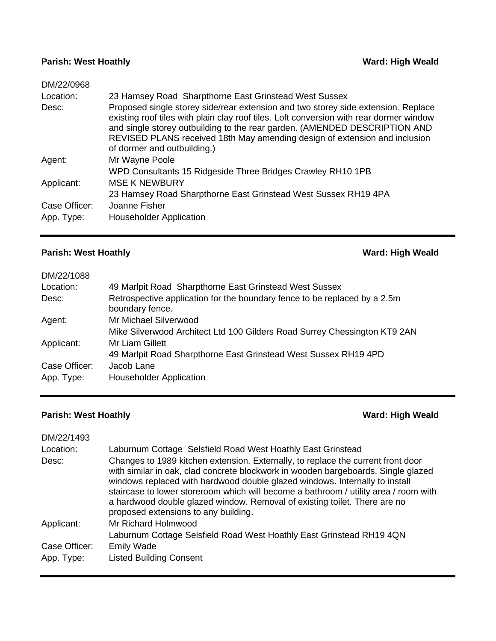## **Parish: West Hoathly** *Parish:* **Ward: High Weald**

| DM/22/0968    |                                                                                                                                                                                                                                                                                                                                                                         |
|---------------|-------------------------------------------------------------------------------------------------------------------------------------------------------------------------------------------------------------------------------------------------------------------------------------------------------------------------------------------------------------------------|
| Location:     | 23 Hamsey Road Sharpthorne East Grinstead West Sussex                                                                                                                                                                                                                                                                                                                   |
| Desc:         | Proposed single storey side/rear extension and two storey side extension. Replace<br>existing roof tiles with plain clay roof tiles. Loft conversion with rear dormer window<br>and single storey outbuilding to the rear garden. (AMENDED DESCRIPTION AND<br>REVISED PLANS received 18th May amending design of extension and inclusion<br>of dormer and outbuilding.) |
| Agent:        | Mr Wayne Poole                                                                                                                                                                                                                                                                                                                                                          |
|               | WPD Consultants 15 Ridgeside Three Bridges Crawley RH10 1PB                                                                                                                                                                                                                                                                                                             |
| Applicant:    | <b>MSE K NEWBURY</b>                                                                                                                                                                                                                                                                                                                                                    |
|               | 23 Hamsey Road Sharpthorne East Grinstead West Sussex RH19 4PA                                                                                                                                                                                                                                                                                                          |
| Case Officer: | Joanne Fisher                                                                                                                                                                                                                                                                                                                                                           |
| App. Type:    | <b>Householder Application</b>                                                                                                                                                                                                                                                                                                                                          |
|               |                                                                                                                                                                                                                                                                                                                                                                         |

# **Parish: West Hoathly Ward: High Weald**

| DM/22/1088    |                                                                                              |
|---------------|----------------------------------------------------------------------------------------------|
| Location:     | 49 Marlpit Road Sharpthorne East Grinstead West Sussex                                       |
| Desc:         | Retrospective application for the boundary fence to be replaced by a 2.5m<br>boundary fence. |
| Agent:        | Mr Michael Silverwood                                                                        |
|               | Mike Silverwood Architect Ltd 100 Gilders Road Surrey Chessington KT9 2AN                    |
| Applicant:    | Mr Liam Gillett                                                                              |
|               | 49 Marlpit Road Sharpthorne East Grinstead West Sussex RH19 4PD                              |
| Case Officer: | Jacob Lane                                                                                   |
| App. Type:    | <b>Householder Application</b>                                                               |

# **Parish: West Hoathly Ward: High Weald**

| DM/22/1493                  |                                                                                                                                                                                                                                                                                                                                                                                                                                                                   |
|-----------------------------|-------------------------------------------------------------------------------------------------------------------------------------------------------------------------------------------------------------------------------------------------------------------------------------------------------------------------------------------------------------------------------------------------------------------------------------------------------------------|
| Location:                   | Laburnum Cottage Selsfield Road West Hoathly East Grinstead                                                                                                                                                                                                                                                                                                                                                                                                       |
| Desc:                       | Changes to 1989 kitchen extension. Externally, to replace the current front door<br>with similar in oak, clad concrete blockwork in wooden bargeboards. Single glazed<br>windows replaced with hardwood double glazed windows. Internally to install<br>staircase to lower storeroom which will become a bathroom / utility area / room with<br>a hardwood double glazed window. Removal of existing toilet. There are no<br>proposed extensions to any building. |
| Applicant:                  | Mr Richard Holmwood<br>Laburnum Cottage Selsfield Road West Hoathly East Grinstead RH19 4QN                                                                                                                                                                                                                                                                                                                                                                       |
| Case Officer:<br>App. Type: | <b>Emily Wade</b><br><b>Listed Building Consent</b>                                                                                                                                                                                                                                                                                                                                                                                                               |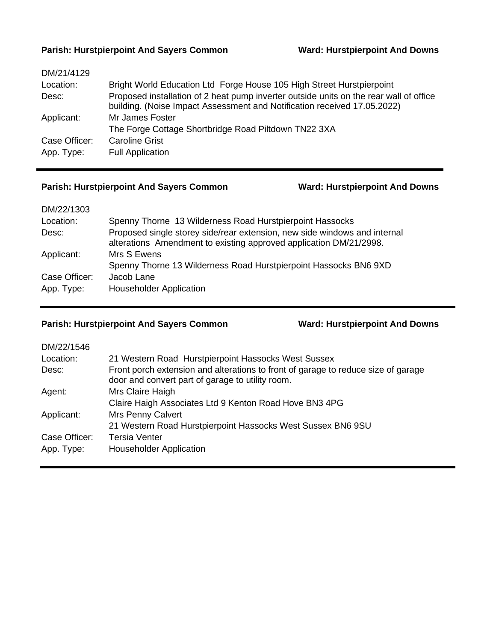## **Parish: Hurstpierpoint And Sayers Common Ward: Hurstpierpoint And Downs**

| DM/21/4129    |                                                                                                                                                                    |
|---------------|--------------------------------------------------------------------------------------------------------------------------------------------------------------------|
| Location:     | Bright World Education Ltd Forge House 105 High Street Hurstpierpoint                                                                                              |
| Desc:         | Proposed installation of 2 heat pump inverter outside units on the rear wall of office<br>building. (Noise Impact Assessment and Notification received 17.05.2022) |
| Applicant:    | Mr James Foster                                                                                                                                                    |
|               | The Forge Cottage Shortbridge Road Piltdown TN22 3XA                                                                                                               |
| Case Officer: | <b>Caroline Grist</b>                                                                                                                                              |
| App. Type:    | <b>Full Application</b>                                                                                                                                            |

## **Parish: Hurstpierpoint And Sayers Common Ward: Hurstpierpoint And Downs**

| DM/22/1303    |                                                                                                                                                 |
|---------------|-------------------------------------------------------------------------------------------------------------------------------------------------|
| Location:     | Spenny Thorne 13 Wilderness Road Hurstpierpoint Hassocks                                                                                        |
| Desc:         | Proposed single storey side/rear extension, new side windows and internal<br>alterations Amendment to existing approved application DM/21/2998. |
| Applicant:    | Mrs S Ewens                                                                                                                                     |
|               | Spenny Thorne 13 Wilderness Road Hurstpierpoint Hassocks BN6 9XD                                                                                |
| Case Officer: | Jacob Lane                                                                                                                                      |
| App. Type:    | <b>Householder Application</b>                                                                                                                  |

# **Parish: Hurstpierpoint And Sayers Common Ward: Hurstpierpoint And Downs**

| DM/22/1546    |                                                                                                                                       |
|---------------|---------------------------------------------------------------------------------------------------------------------------------------|
| Location:     | 21 Western Road Hurstpierpoint Hassocks West Sussex                                                                                   |
| Desc:         | Front porch extension and alterations to front of garage to reduce size of garage<br>door and convert part of garage to utility room. |
| Agent:        | Mrs Claire Haigh                                                                                                                      |
|               | Claire Haigh Associates Ltd 9 Kenton Road Hove BN3 4PG                                                                                |
| Applicant:    | <b>Mrs Penny Calvert</b>                                                                                                              |
|               | 21 Western Road Hurstpierpoint Hassocks West Sussex BN6 9SU                                                                           |
| Case Officer: | Tersia Venter                                                                                                                         |
| App. Type:    | <b>Householder Application</b>                                                                                                        |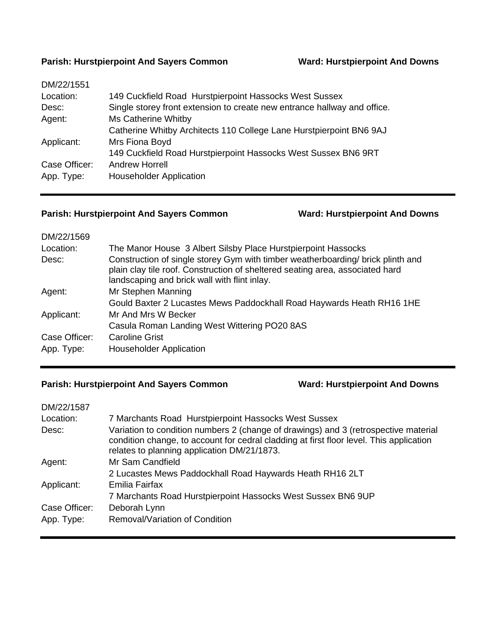### **Parish: Hurstpierpoint And Sayers Common Ward: Hurstpierpoint And Downs**

| DM/22/1551    |                                                                          |
|---------------|--------------------------------------------------------------------------|
| Location:     | 149 Cuckfield Road Hurstpierpoint Hassocks West Sussex                   |
| Desc:         | Single storey front extension to create new entrance hallway and office. |
| Agent:        | Ms Catherine Whitby                                                      |
|               | Catherine Whitby Architects 110 College Lane Hurstpierpoint BN6 9AJ      |
| Applicant:    | Mrs Fiona Boyd                                                           |
|               | 149 Cuckfield Road Hurstpierpoint Hassocks West Sussex BN6 9RT           |
| Case Officer: | <b>Andrew Horrell</b>                                                    |
| App. Type:    | <b>Householder Application</b>                                           |
|               |                                                                          |

## **Parish: Hurstpierpoint And Sayers Common Ward: Hurstpierpoint And Downs**

| DM/22/1569    |                                                                                                                                                                                                                  |
|---------------|------------------------------------------------------------------------------------------------------------------------------------------------------------------------------------------------------------------|
| Location:     | The Manor House 3 Albert Silsby Place Hurstpierpoint Hassocks                                                                                                                                                    |
| Desc:         | Construction of single storey Gym with timber weatherboarding/ brick plinth and<br>plain clay tile roof. Construction of sheltered seating area, associated hard<br>landscaping and brick wall with flint inlay. |
| Agent:        | Mr Stephen Manning                                                                                                                                                                                               |
|               | Gould Baxter 2 Lucastes Mews Paddockhall Road Haywards Heath RH16 1HE                                                                                                                                            |
| Applicant:    | Mr And Mrs W Becker                                                                                                                                                                                              |
|               | Casula Roman Landing West Wittering PO20 8AS                                                                                                                                                                     |
| Case Officer: | <b>Caroline Grist</b>                                                                                                                                                                                            |
| App. Type:    | <b>Householder Application</b>                                                                                                                                                                                   |

# **Parish: Hurstpierpoint And Sayers Common Ward: Hurstpierpoint And Downs**

| DM/22/1587    |                                                                                                                                                                                                                               |
|---------------|-------------------------------------------------------------------------------------------------------------------------------------------------------------------------------------------------------------------------------|
| Location:     | 7 Marchants Road Hurstpierpoint Hassocks West Sussex                                                                                                                                                                          |
| Desc:         | Variation to condition numbers 2 (change of drawings) and 3 (retrospective material<br>condition change, to account for cedral cladding at first floor level. This application<br>relates to planning application DM/21/1873. |
| Agent:        | Mr Sam Candfield                                                                                                                                                                                                              |
|               | 2 Lucastes Mews Paddockhall Road Haywards Heath RH16 2LT                                                                                                                                                                      |
| Applicant:    | Emilia Fairfax                                                                                                                                                                                                                |
|               | 7 Marchants Road Hurstpierpoint Hassocks West Sussex BN6 9UP                                                                                                                                                                  |
| Case Officer: | Deborah Lynn                                                                                                                                                                                                                  |
| App. Type:    | Removal/Variation of Condition                                                                                                                                                                                                |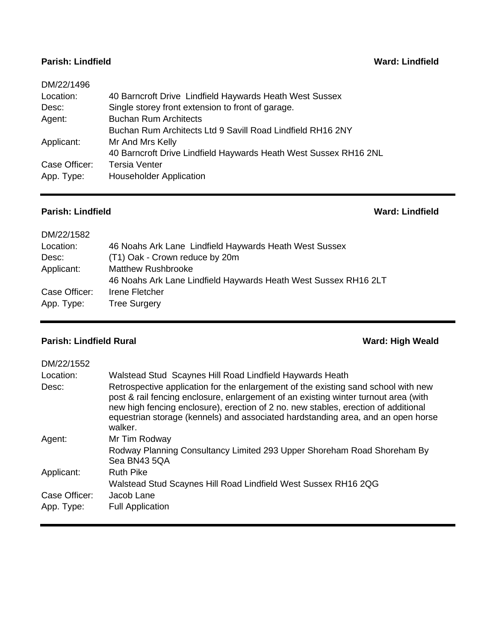### **Parish: Lindfield Ward: Lindfield**

| DM/22/1496    |                                                                  |
|---------------|------------------------------------------------------------------|
| Location:     | 40 Barncroft Drive Lindfield Haywards Heath West Sussex          |
| Desc:         | Single storey front extension to front of garage.                |
| Agent:        | <b>Buchan Rum Architects</b>                                     |
|               | Buchan Rum Architects Ltd 9 Savill Road Lindfield RH16 2NY       |
| Applicant:    | Mr And Mrs Kelly                                                 |
|               | 40 Barncroft Drive Lindfield Haywards Heath West Sussex RH16 2NL |
| Case Officer: | <b>Tersia Venter</b>                                             |
| App. Type:    | <b>Householder Application</b>                                   |
|               |                                                                  |

## **Parish: Lindfield Ward: Lindfield**

| DM/22/1582    |                                                                 |
|---------------|-----------------------------------------------------------------|
| Location:     | 46 Noahs Ark Lane Lindfield Haywards Heath West Sussex          |
| Desc:         | (T1) Oak - Crown reduce by 20m                                  |
| Applicant:    | <b>Matthew Rushbrooke</b>                                       |
|               | 46 Noahs Ark Lane Lindfield Haywards Heath West Sussex RH16 2LT |
| Case Officer: | Irene Fletcher                                                  |
| App. Type:    | <b>Tree Surgery</b>                                             |
|               |                                                                 |

# **Parish: Lindfield Rural Ward: High Weald**

| DM/22/1552         |                                                                                                                                                                                                                                                                                                                                                                                                                            |
|--------------------|----------------------------------------------------------------------------------------------------------------------------------------------------------------------------------------------------------------------------------------------------------------------------------------------------------------------------------------------------------------------------------------------------------------------------|
| Location:<br>Desc: | Walstead Stud Scaynes Hill Road Lindfield Haywards Heath<br>Retrospective application for the enlargement of the existing sand school with new<br>post & rail fencing enclosure, enlargement of an existing winter turnout area (with<br>new high fencing enclosure), erection of 2 no. new stables, erection of additional<br>equestrian storage (kennels) and associated hardstanding area, and an open horse<br>walker. |
| Agent:             | Mr Tim Rodway                                                                                                                                                                                                                                                                                                                                                                                                              |
|                    | Rodway Planning Consultancy Limited 293 Upper Shoreham Road Shoreham By<br>Sea BN43 5QA                                                                                                                                                                                                                                                                                                                                    |
| Applicant:         | <b>Ruth Pike</b>                                                                                                                                                                                                                                                                                                                                                                                                           |
|                    | Walstead Stud Scaynes Hill Road Lindfield West Sussex RH16 2QG                                                                                                                                                                                                                                                                                                                                                             |
| Case Officer:      | Jacob Lane                                                                                                                                                                                                                                                                                                                                                                                                                 |
| App. Type:         | <b>Full Application</b>                                                                                                                                                                                                                                                                                                                                                                                                    |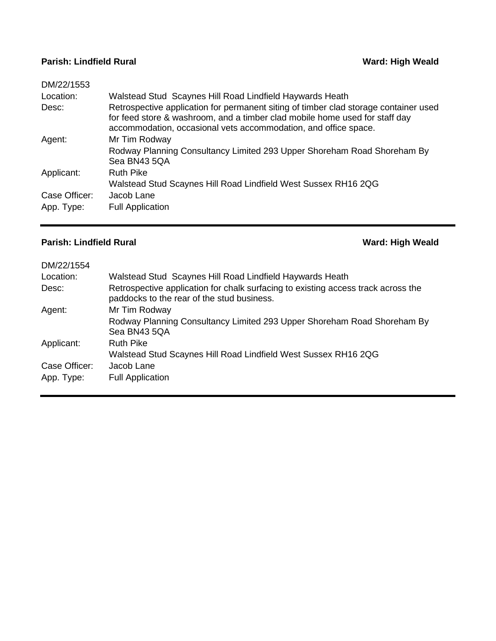## **Parish: Lindfield Rural Ward: High Weald Ward: High Weald**

| DM/22/1553    |                                                                                                                                                                                                                                        |
|---------------|----------------------------------------------------------------------------------------------------------------------------------------------------------------------------------------------------------------------------------------|
| Location:     | Walstead Stud Scaynes Hill Road Lindfield Haywards Heath                                                                                                                                                                               |
| Desc:         | Retrospective application for permanent siting of timber clad storage container used<br>for feed store & washroom, and a timber clad mobile home used for staff day<br>accommodation, occasional vets accommodation, and office space. |
| Agent:        | Mr Tim Rodway                                                                                                                                                                                                                          |
|               | Rodway Planning Consultancy Limited 293 Upper Shoreham Road Shoreham By<br>Sea BN43 5QA                                                                                                                                                |
| Applicant:    | <b>Ruth Pike</b>                                                                                                                                                                                                                       |
|               | Walstead Stud Scaynes Hill Road Lindfield West Sussex RH16 2QG                                                                                                                                                                         |
| Case Officer: | Jacob Lane                                                                                                                                                                                                                             |
| App. Type:    | <b>Full Application</b>                                                                                                                                                                                                                |

# **Parish: Lindfield Rural Ward: High Weald**

| DM/22/1554    |                                                                                                                                 |
|---------------|---------------------------------------------------------------------------------------------------------------------------------|
| Location:     | Walstead Stud Scaynes Hill Road Lindfield Haywards Heath                                                                        |
| Desc:         | Retrospective application for chalk surfacing to existing access track across the<br>paddocks to the rear of the stud business. |
| Agent:        | Mr Tim Rodway                                                                                                                   |
|               | Rodway Planning Consultancy Limited 293 Upper Shoreham Road Shoreham By<br>Sea BN43 5QA                                         |
| Applicant:    | <b>Ruth Pike</b>                                                                                                                |
|               | Walstead Stud Scaynes Hill Road Lindfield West Sussex RH16 2QG                                                                  |
| Case Officer: | Jacob Lane                                                                                                                      |
| App. Type:    | <b>Full Application</b>                                                                                                         |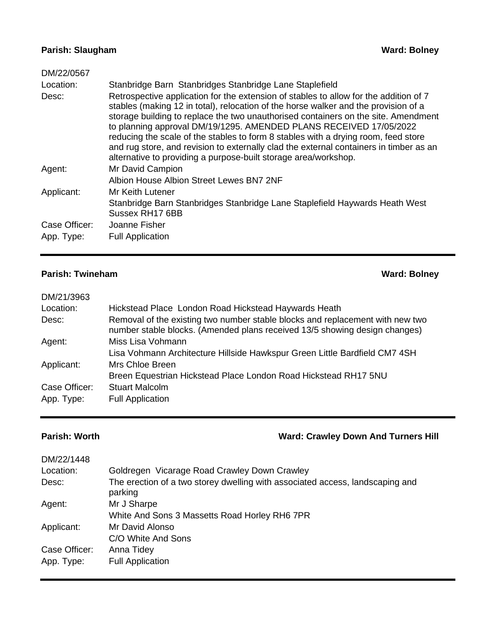# **Parish: Slaugham Ward: Bolney**

| DM/22/0567    |                                                                                                                                                                                                                                                                                                                                                                                                                                                                                                                                                                                             |
|---------------|---------------------------------------------------------------------------------------------------------------------------------------------------------------------------------------------------------------------------------------------------------------------------------------------------------------------------------------------------------------------------------------------------------------------------------------------------------------------------------------------------------------------------------------------------------------------------------------------|
| Location:     | Stanbridge Barn Stanbridges Stanbridge Lane Staplefield                                                                                                                                                                                                                                                                                                                                                                                                                                                                                                                                     |
| Desc:         | Retrospective application for the extension of stables to allow for the addition of 7<br>stables (making 12 in total), relocation of the horse walker and the provision of a<br>storage building to replace the two unauthorised containers on the site. Amendment<br>to planning approval DM/19/1295. AMENDED PLANS RECEIVED 17/05/2022<br>reducing the scale of the stables to form 8 stables with a drying room, feed store<br>and rug store, and revision to externally clad the external containers in timber as an<br>alternative to providing a purpose-built storage area/workshop. |
| Agent:        | Mr David Campion                                                                                                                                                                                                                                                                                                                                                                                                                                                                                                                                                                            |
|               | Albion House Albion Street Lewes BN7 2NF                                                                                                                                                                                                                                                                                                                                                                                                                                                                                                                                                    |
| Applicant:    | Mr Keith Lutener                                                                                                                                                                                                                                                                                                                                                                                                                                                                                                                                                                            |
|               | Stanbridge Barn Stanbridges Stanbridge Lane Staplefield Haywards Heath West<br>Sussex RH17 6BB                                                                                                                                                                                                                                                                                                                                                                                                                                                                                              |
| Case Officer: | Joanne Fisher                                                                                                                                                                                                                                                                                                                                                                                                                                                                                                                                                                               |
| App. Type:    | <b>Full Application</b>                                                                                                                                                                                                                                                                                                                                                                                                                                                                                                                                                                     |

# **Parish: Twineham Ward: Bolney Ward: Bolney**

| DM/21/3963    |                                                                                                                                                             |
|---------------|-------------------------------------------------------------------------------------------------------------------------------------------------------------|
| Location:     | Hickstead Place London Road Hickstead Haywards Heath                                                                                                        |
| Desc:         | Removal of the existing two number stable blocks and replacement with new two<br>number stable blocks. (Amended plans received 13/5 showing design changes) |
| Agent:        | Miss Lisa Vohmann                                                                                                                                           |
|               | Lisa Vohmann Architecture Hillside Hawkspur Green Little Bardfield CM7 4SH                                                                                  |
| Applicant:    | Mrs Chloe Breen                                                                                                                                             |
|               | Breen Equestrian Hickstead Place London Road Hickstead RH17 5NU                                                                                             |
| Case Officer: | <b>Stuart Malcolm</b>                                                                                                                                       |
| App. Type:    | <b>Full Application</b>                                                                                                                                     |

# **Parish: Worth Ward: Crawley Down And Turners Hill**

| DM/22/1448    |                                                                                          |
|---------------|------------------------------------------------------------------------------------------|
| Location:     | Goldregen Vicarage Road Crawley Down Crawley                                             |
| Desc:         | The erection of a two storey dwelling with associated access, landscaping and<br>parking |
| Agent:        | Mr J Sharpe                                                                              |
|               | White And Sons 3 Massetts Road Horley RH6 7PR                                            |
| Applicant:    | Mr David Alonso                                                                          |
|               | C/O White And Sons                                                                       |
| Case Officer: | Anna Tidey                                                                               |
| App. Type:    | <b>Full Application</b>                                                                  |